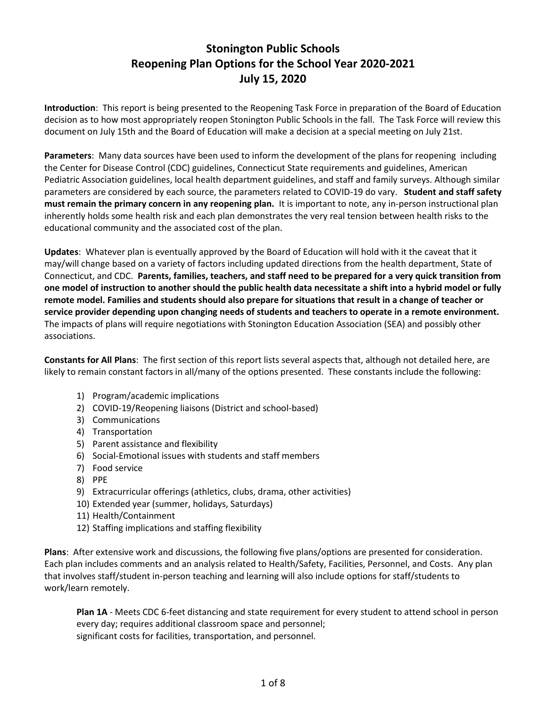# **Stonington Public Schools Reopening Plan Options for the School Year 2020-2021 July 15, 2020**

**Introduction**: This report is being presented to the Reopening Task Force in preparation of the Board of Education decision as to how most appropriately reopen Stonington Public Schools in the fall. The Task Force will review this document on July 15th and the Board of Education will make a decision at a special meeting on July 21st.

**Parameters**: Many data sources have been used to inform the development of the plans for reopening including the Center for Disease Control (CDC) guidelines, Connecticut State requirements and guidelines, American Pediatric Association guidelines, local health department guidelines, and staff and family surveys. Although similar parameters are considered by each source, the parameters related to COVID-19 do vary. **Student and staff safety must remain the primary concern in any reopening plan.** It is important to note, any in-person instructional plan inherently holds some health risk and each plan demonstrates the very real tension between health risks to the educational community and the associated cost of the plan.

**Updates**: Whatever plan is eventually approved by the Board of Education will hold with it the caveat that it may/will change based on a variety of factors including updated directions from the health department, State of Connecticut, and CDC. **Parents, families, teachers, and staff need to be prepared for a very quick transition from one model of instruction to another should the public health data necessitate a shift into a hybrid model or fully remote model. Families and students should also prepare for situations that result in a change of teacher or service provider depending upon changing needs of students and teachers to operate in a remote environment.** The impacts of plans will require negotiations with Stonington Education Association (SEA) and possibly other associations.

**Constants for All Plans**: The first section of this report lists several aspects that, although not detailed here, are likely to remain constant factors in all/many of the options presented. These constants include the following:

- 1) Program/academic implications
- 2) COVID-19/Reopening liaisons (District and school-based)
- 3) Communications
- 4) Transportation
- 5) Parent assistance and flexibility
- 6) Social-Emotional issues with students and staff members
- 7) Food service
- 8) PPE
- 9) Extracurricular offerings (athletics, clubs, drama, other activities)
- 10) Extended year (summer, holidays, Saturdays)
- 11) Health/Containment
- 12) Staffing implications and staffing flexibility

**Plans**: After extensive work and discussions, the following five plans/options are presented for consideration. Each plan includes comments and an analysis related to Health/Safety, Facilities, Personnel, and Costs. Any plan that involves staff/student in-person teaching and learning will also include options for staff/students to work/learn remotely.

**Plan 1A** - Meets CDC 6-feet distancing and state requirement for every student to attend school in person every day; requires additional classroom space and personnel; significant costs for facilities, transportation, and personnel.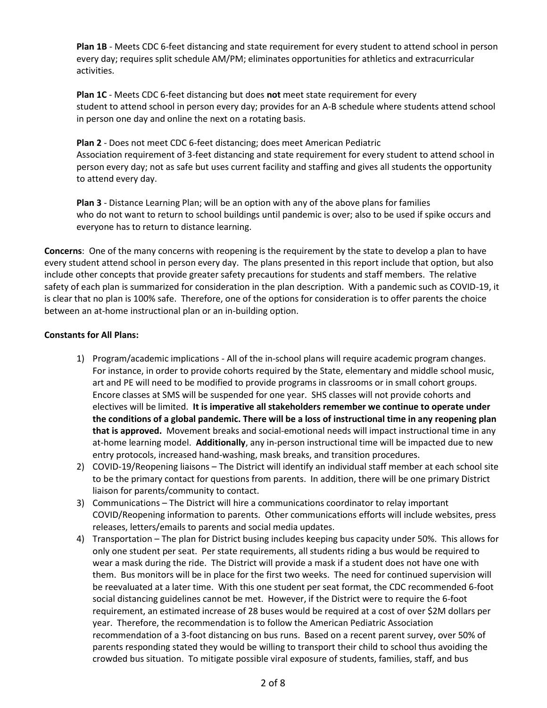**Plan 1B** - Meets CDC 6-feet distancing and state requirement for every student to attend school in person every day; requires split schedule AM/PM; eliminates opportunities for athletics and extracurricular activities.

**Plan 1C** - Meets CDC 6-feet distancing but does **not** meet state requirement for every student to attend school in person every day; provides for an A-B schedule where students attend school in person one day and online the next on a rotating basis.

**Plan 2** - Does not meet CDC 6-feet distancing; does meet American Pediatric Association requirement of 3-feet distancing and state requirement for every student to attend school in person every day; not as safe but uses current facility and staffing and gives all students the opportunity to attend every day.

**Plan 3** - Distance Learning Plan; will be an option with any of the above plans for families who do not want to return to school buildings until pandemic is over; also to be used if spike occurs and everyone has to return to distance learning.

**Concerns**: One of the many concerns with reopening is the requirement by the state to develop a plan to have every student attend school in person every day. The plans presented in this report include that option, but also include other concepts that provide greater safety precautions for students and staff members. The relative safety of each plan is summarized for consideration in the plan description. With a pandemic such as COVID-19, it is clear that no plan is 100% safe. Therefore, one of the options for consideration is to offer parents the choice between an at-home instructional plan or an in-building option.

### **Constants for All Plans:**

- 1) Program/academic implications All of the in-school plans will require academic program changes. For instance, in order to provide cohorts required by the State, elementary and middle school music, art and PE will need to be modified to provide programs in classrooms or in small cohort groups. Encore classes at SMS will be suspended for one year. SHS classes will not provide cohorts and electives will be limited. **It is imperative all stakeholders remember we continue to operate under the conditions of a global pandemic. There will be a loss of instructional time in any reopening plan that is approved.** Movement breaks and social-emotional needs will impact instructional time in any at-home learning model. **Additionally**, any in-person instructional time will be impacted due to new entry protocols, increased hand-washing, mask breaks, and transition procedures.
- 2) COVID-19/Reopening liaisons The District will identify an individual staff member at each school site to be the primary contact for questions from parents. In addition, there will be one primary District liaison for parents/community to contact.
- 3) Communications The District will hire a communications coordinator to relay important COVID/Reopening information to parents. Other communications efforts will include websites, press releases, letters/emails to parents and social media updates.
- 4) Transportation The plan for District busing includes keeping bus capacity under 50%. This allows for only one student per seat. Per state requirements, all students riding a bus would be required to wear a mask during the ride. The District will provide a mask if a student does not have one with them. Bus monitors will be in place for the first two weeks. The need for continued supervision will be reevaluated at a later time. With this one student per seat format, the CDC recommended 6-foot social distancing guidelines cannot be met. However, if the District were to require the 6-foot requirement, an estimated increase of 28 buses would be required at a cost of over \$2M dollars per year. Therefore, the recommendation is to follow the American Pediatric Association recommendation of a 3-foot distancing on bus runs. Based on a recent parent survey, over 50% of parents responding stated they would be willing to transport their child to school thus avoiding the crowded bus situation. To mitigate possible viral exposure of students, families, staff, and bus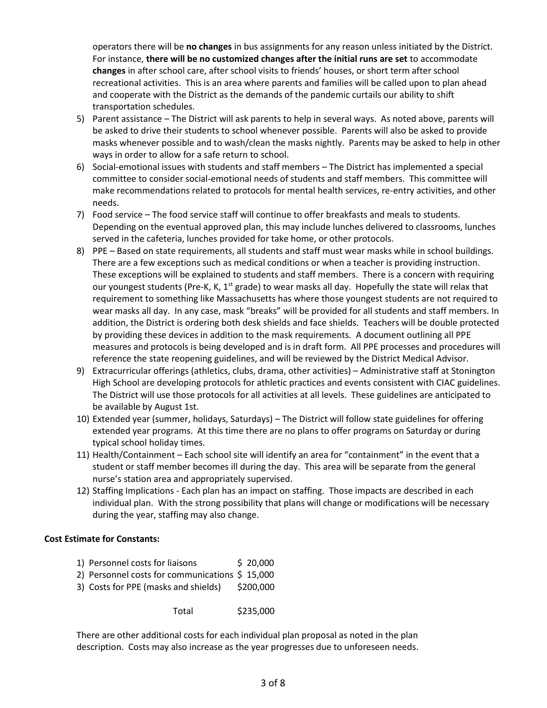operators there will be **no changes** in bus assignments for any reason unless initiated by the District. For instance, **there will be no customized changes after the initial runs are set** to accommodate **changes** in after school care, after school visits to friends' houses, or short term after school recreational activities. This is an area where parents and families will be called upon to plan ahead and cooperate with the District as the demands of the pandemic curtails our ability to shift transportation schedules.

- 5) Parent assistance The District will ask parents to help in several ways. As noted above, parents will be asked to drive their students to school whenever possible. Parents will also be asked to provide masks whenever possible and to wash/clean the masks nightly. Parents may be asked to help in other ways in order to allow for a safe return to school.
- 6) Social-emotional issues with students and staff members The District has implemented a special committee to consider social-emotional needs of students and staff members. This committee will make recommendations related to protocols for mental health services, re-entry activities, and other needs.
- 7) Food service The food service staff will continue to offer breakfasts and meals to students. Depending on the eventual approved plan, this may include lunches delivered to classrooms, lunches served in the cafeteria, lunches provided for take home, or other protocols.
- 8) PPE Based on state requirements, all students and staff must wear masks while in school buildings. There are a few exceptions such as medical conditions or when a teacher is providing instruction. These exceptions will be explained to students and staff members. There is a concern with requiring our youngest students (Pre-K, K,  $1^{st}$  grade) to wear masks all day. Hopefully the state will relax that requirement to something like Massachusetts has where those youngest students are not required to wear masks all day. In any case, mask "breaks" will be provided for all students and staff members. In addition, the District is ordering both desk shields and face shields. Teachers will be double protected by providing these devices in addition to the mask requirements. A document outlining all PPE measures and protocols is being developed and is in draft form. All PPE processes and procedures will reference the state reopening guidelines, and will be reviewed by the District Medical Advisor.
- 9) Extracurricular offerings (athletics, clubs, drama, other activities) Administrative staff at Stonington High School are developing protocols for athletic practices and events consistent with CIAC guidelines. The District will use those protocols for all activities at all levels. These guidelines are anticipated to be available by August 1st.
- 10) Extended year (summer, holidays, Saturdays) The District will follow state guidelines for offering extended year programs. At this time there are no plans to offer programs on Saturday or during typical school holiday times.
- 11) Health/Containment Each school site will identify an area for "containment" in the event that a student or staff member becomes ill during the day. This area will be separate from the general nurse's station area and appropriately supervised.
- 12) Staffing Implications Each plan has an impact on staffing. Those impacts are described in each individual plan. With the strong possibility that plans will change or modifications will be necessary during the year, staffing may also change.

#### **Cost Estimate for Constants:**

- 1) Personnel costs for liaisons \$ 20,000
- 2) Personnel costs for communications \$ 15,000
- 3) Costs for PPE (masks and shields) \$200,000

Total \$235,000

There are other additional costs for each individual plan proposal as noted in the plan description. Costs may also increase as the year progresses due to unforeseen needs.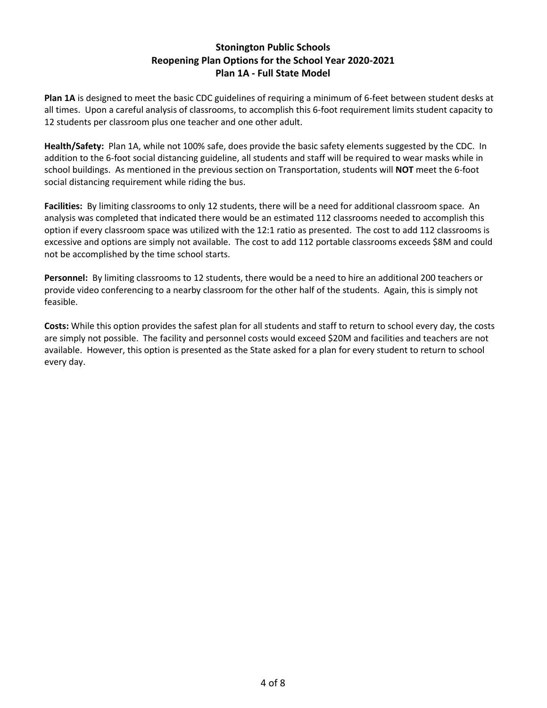## **Stonington Public Schools Reopening Plan Options for the School Year 2020-2021 Plan 1A - Full State Model**

**Plan 1A** is designed to meet the basic CDC guidelines of requiring a minimum of 6-feet between student desks at all times. Upon a careful analysis of classrooms, to accomplish this 6-foot requirement limits student capacity to 12 students per classroom plus one teacher and one other adult.

**Health/Safety:** Plan 1A, while not 100% safe, does provide the basic safety elements suggested by the CDC. In addition to the 6-foot social distancing guideline, all students and staff will be required to wear masks while in school buildings. As mentioned in the previous section on Transportation, students will **NOT** meet the 6-foot social distancing requirement while riding the bus.

**Facilities:** By limiting classrooms to only 12 students, there will be a need for additional classroom space. An analysis was completed that indicated there would be an estimated 112 classrooms needed to accomplish this option if every classroom space was utilized with the 12:1 ratio as presented. The cost to add 112 classrooms is excessive and options are simply not available. The cost to add 112 portable classrooms exceeds \$8M and could not be accomplished by the time school starts.

**Personnel:** By limiting classrooms to 12 students, there would be a need to hire an additional 200 teachers or provide video conferencing to a nearby classroom for the other half of the students. Again, this is simply not feasible.

**Costs:** While this option provides the safest plan for all students and staff to return to school every day, the costs are simply not possible. The facility and personnel costs would exceed \$20M and facilities and teachers are not available. However, this option is presented as the State asked for a plan for every student to return to school every day.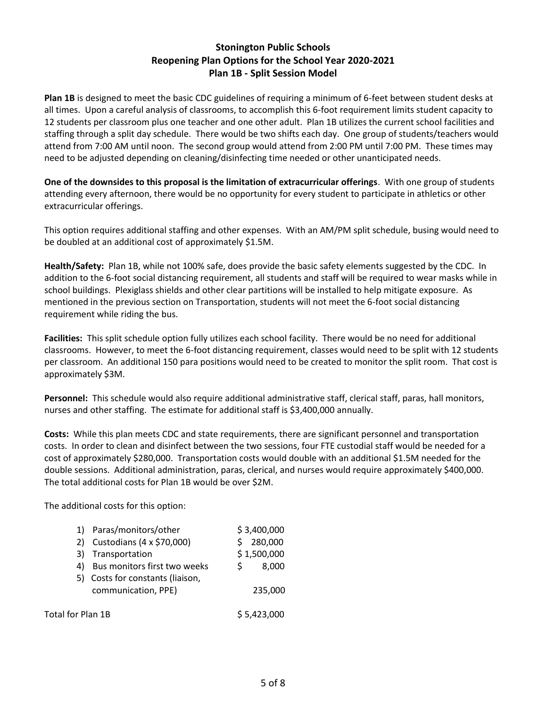# **Stonington Public Schools Reopening Plan Options for the School Year 2020-2021 Plan 1B - Split Session Model**

**Plan 1B** is designed to meet the basic CDC guidelines of requiring a minimum of 6-feet between student desks at all times. Upon a careful analysis of classrooms, to accomplish this 6-foot requirement limits student capacity to 12 students per classroom plus one teacher and one other adult. Plan 1B utilizes the current school facilities and staffing through a split day schedule. There would be two shifts each day. One group of students/teachers would attend from 7:00 AM until noon. The second group would attend from 2:00 PM until 7:00 PM. These times may need to be adjusted depending on cleaning/disinfecting time needed or other unanticipated needs.

**One of the downsides to this proposal is the limitation of extracurricular offerings**. With one group of students attending every afternoon, there would be no opportunity for every student to participate in athletics or other extracurricular offerings.

This option requires additional staffing and other expenses. With an AM/PM split schedule, busing would need to be doubled at an additional cost of approximately \$1.5M.

**Health/Safety:** Plan 1B, while not 100% safe, does provide the basic safety elements suggested by the CDC. In addition to the 6-foot social distancing requirement, all students and staff will be required to wear masks while in school buildings. Plexiglass shields and other clear partitions will be installed to help mitigate exposure. As mentioned in the previous section on Transportation, students will not meet the 6-foot social distancing requirement while riding the bus.

**Facilities:** This split schedule option fully utilizes each school facility. There would be no need for additional classrooms. However, to meet the 6-foot distancing requirement, classes would need to be split with 12 students per classroom. An additional 150 para positions would need to be created to monitor the split room. That cost is approximately \$3M.

**Personnel:** This schedule would also require additional administrative staff, clerical staff, paras, hall monitors, nurses and other staffing. The estimate for additional staff is \$3,400,000 annually.

**Costs:** While this plan meets CDC and state requirements, there are significant personnel and transportation costs. In order to clean and disinfect between the two sessions, four FTE custodial staff would be needed for a cost of approximately \$280,000. Transportation costs would double with an additional \$1.5M needed for the double sessions. Additional administration, paras, clerical, and nurses would require approximately \$400,000. The total additional costs for Plan 1B would be over \$2M.

The additional costs for this option:

|                   | Paras/monitors/other             |  | \$3,400,000 |
|-------------------|----------------------------------|--|-------------|
| 2)                | Custodians (4 x \$70,000)        |  | 280,000     |
| 3)                | Transportation                   |  | \$1,500,000 |
| 4)                | Bus monitors first two weeks     |  | 8.000       |
|                   | 5) Costs for constants (liaison, |  |             |
|                   | communication, PPE)              |  | 235,000     |
|                   |                                  |  |             |
| Total for Plan 1B |                                  |  | \$5,423,000 |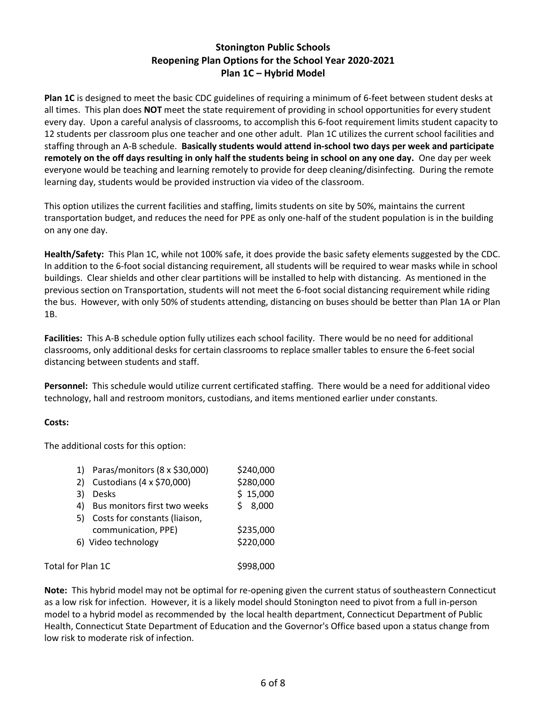# **Stonington Public Schools Reopening Plan Options for the School Year 2020-2021 Plan 1C – Hybrid Model**

**Plan 1C** is designed to meet the basic CDC guidelines of requiring a minimum of 6-feet between student desks at all times. This plan does **NOT** meet the state requirement of providing in school opportunities for every student every day. Upon a careful analysis of classrooms, to accomplish this 6-foot requirement limits student capacity to 12 students per classroom plus one teacher and one other adult. Plan 1C utilizes the current school facilities and staffing through an A-B schedule. **Basically students would attend in-school two days per week and participate remotely on the off days resulting in only half the students being in school on any one day.** One day per week everyone would be teaching and learning remotely to provide for deep cleaning/disinfecting. During the remote learning day, students would be provided instruction via video of the classroom.

This option utilizes the current facilities and staffing, limits students on site by 50%, maintains the current transportation budget, and reduces the need for PPE as only one-half of the student population is in the building on any one day.

**Health/Safety:** This Plan 1C, while not 100% safe, it does provide the basic safety elements suggested by the CDC. In addition to the 6-foot social distancing requirement, all students will be required to wear masks while in school buildings. Clear shields and other clear partitions will be installed to help with distancing. As mentioned in the previous section on Transportation, students will not meet the 6-foot social distancing requirement while riding the bus. However, with only 50% of students attending, distancing on buses should be better than Plan 1A or Plan 1B.

**Facilities:** This A-B schedule option fully utilizes each school facility. There would be no need for additional classrooms, only additional desks for certain classrooms to replace smaller tables to ensure the 6-feet social distancing between students and staff.

**Personnel:** This schedule would utilize current certificated staffing. There would be a need for additional video technology, hall and restroom monitors, custodians, and items mentioned earlier under constants.

## **Costs:**

The additional costs for this option:

|                   | 1) Paras/monitors (8 x \$30,000) | \$240,000 |
|-------------------|----------------------------------|-----------|
| 2)                | Custodians (4 x \$70,000)        | \$280,000 |
| 3)                | <b>Desks</b>                     | \$15,000  |
| 4)                | Bus monitors first two weeks     | 8,000     |
|                   | 5) Costs for constants (liaison, |           |
|                   | communication, PPE)              | \$235,000 |
|                   | 6) Video technology              | \$220,000 |
| Total for Plan 1C | \$998,000                        |           |

**Note:** This hybrid model may not be optimal for re-opening given the current status of southeastern Connecticut as a low risk for infection. However, it is a likely model should Stonington need to pivot from a full in-person model to a hybrid model as recommended by the local health department, Connecticut Department of Public Health, Connecticut State Department of Education and the Governor's Office based upon a status change from low risk to moderate risk of infection.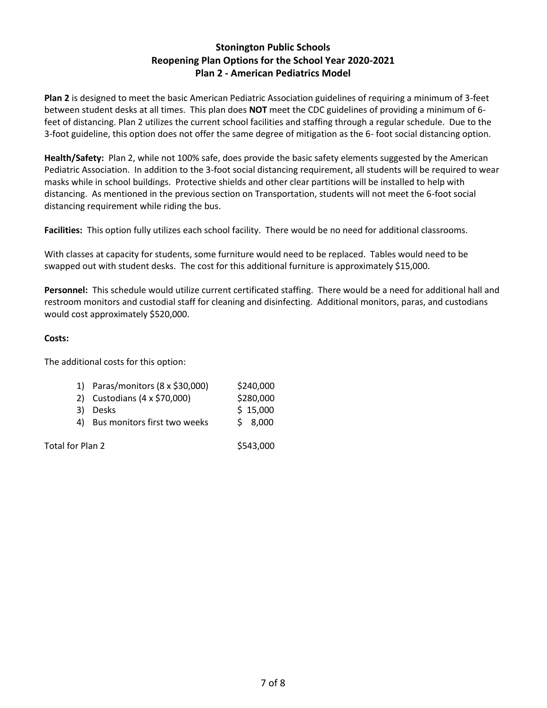# **Stonington Public Schools Reopening Plan Options for the School Year 2020-2021 Plan 2 - American Pediatrics Model**

**Plan 2** is designed to meet the basic American Pediatric Association guidelines of requiring a minimum of 3-feet between student desks at all times. This plan does **NOT** meet the CDC guidelines of providing a minimum of 6 feet of distancing. Plan 2 utilizes the current school facilities and staffing through a regular schedule. Due to the 3-foot guideline, this option does not offer the same degree of mitigation as the 6- foot social distancing option.

**Health/Safety:** Plan 2, while not 100% safe, does provide the basic safety elements suggested by the American Pediatric Association. In addition to the 3-foot social distancing requirement, all students will be required to wear masks while in school buildings. Protective shields and other clear partitions will be installed to help with distancing. As mentioned in the previous section on Transportation, students will not meet the 6-foot social distancing requirement while riding the bus.

**Facilities:** This option fully utilizes each school facility. There would be no need for additional classrooms.

With classes at capacity for students, some furniture would need to be replaced. Tables would need to be swapped out with student desks. The cost for this additional furniture is approximately \$15,000.

**Personnel:** This schedule would utilize current certificated staffing. There would be a need for additional hall and restroom monitors and custodial staff for cleaning and disinfecting. Additional monitors, paras, and custodians would cost approximately \$520,000.

### **Costs:**

The additional costs for this option:

| 1) Paras/monitors (8 x \$30,000) | \$240,000 |
|----------------------------------|-----------|
| 2) Custodians (4 x \$70,000)     | \$280,000 |
| 3) Desks                         | \$15,000  |
| 1) Rue monitore first two wooks  | c ennn    |

Bus monitors first two weeks  $\rightarrow$  8,000

Total for Plan 2  $$543,000$